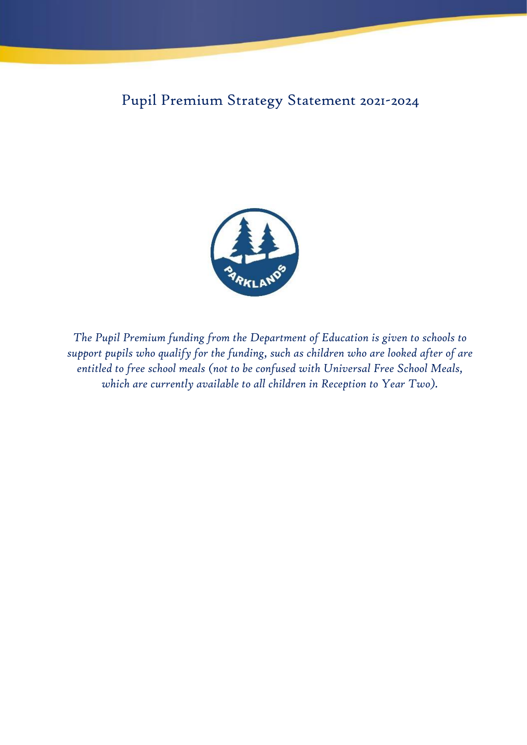Pupil Premium Strategy Statement 2021-2024



*The Pupil Premium funding from the Department of Education is given to schools to support pupils who qualify for the funding, such as children who are looked after of are entitled to free school meals (not to be confused with Universal Free School Meals, which are currently available to all children in Reception to Year Two).*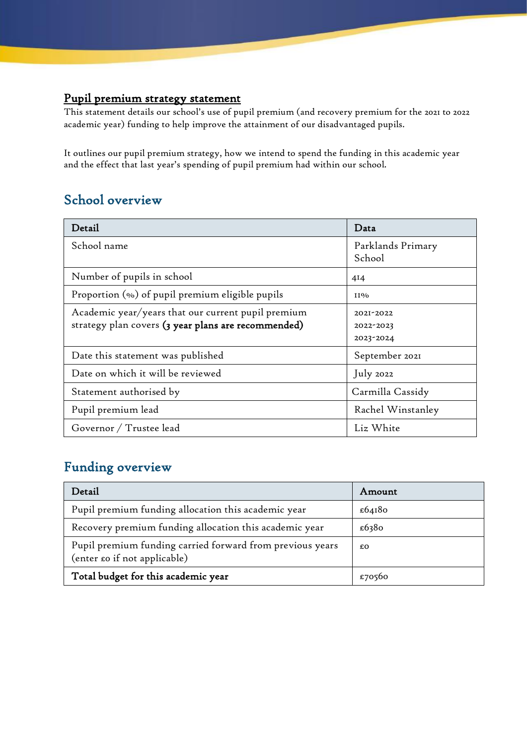#### Pupil premium strategy statement

This statement details our school's use of pupil premium (and recovery premium for the 2021 to 2022 academic year) funding to help improve the attainment of our disadvantaged pupils.

It outlines our pupil premium strategy, how we intend to spend the funding in this academic year and the effect that last year's spending of pupil premium had within our school.

## School overview

| Detail                                                                                                    | Data                                |
|-----------------------------------------------------------------------------------------------------------|-------------------------------------|
| School name                                                                                               | Parklands Primary<br>School         |
| Number of pupils in school                                                                                | 414                                 |
| Proportion $(\infty)$ of pupil premium eligible pupils                                                    | $II\%$                              |
| Academic year/years that our current pupil premium<br>strategy plan covers (3 year plans are recommended) | 2021-2022<br>2022-2023<br>2023-2024 |
| Date this statement was published                                                                         | September 2021                      |
| Date on which it will be reviewed                                                                         | July 2022                           |
| Statement authorised by                                                                                   | Carmilla Cassidy                    |
| Pupil premium lead                                                                                        | Rachel Winstanley                   |
| Governor / Trustee lead                                                                                   | Liz White                           |

## Funding overview

| Detail                                                                                    | Amount |
|-------------------------------------------------------------------------------------------|--------|
| Pupil premium funding allocation this academic year                                       | £64180 |
| Recovery premium funding allocation this academic year                                    | £6380  |
| Pupil premium funding carried forward from previous years<br>(enter £0 if not applicable) | £O     |
| Total budget for this academic year                                                       | £70560 |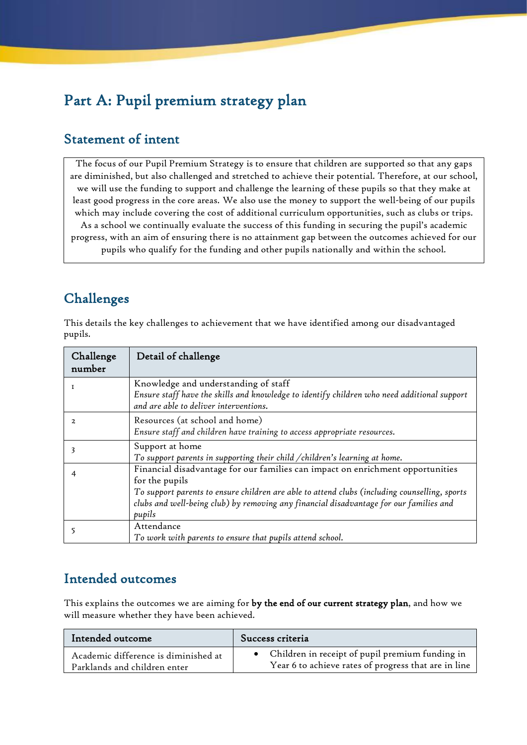# Part A: Pupil premium strategy plan

## Statement of intent

The focus of our Pupil Premium Strategy is to ensure that children are supported so that any gaps are diminished, but also challenged and stretched to achieve their potential. Therefore, at our school, we will use the funding to support and challenge the learning of these pupils so that they make at least good progress in the core areas. We also use the money to support the well-being of our pupils which may include covering the cost of additional curriculum opportunities, such as clubs or trips. As a school we continually evaluate the success of this funding in securing the pupil's academic progress, with an aim of ensuring there is no attainment gap between the outcomes achieved for our pupils who qualify for the funding and other pupils nationally and within the school.

## Challenges

| Challenge<br>number | Detail of challenge                                                                                                                                                                                                                                                                                   |
|---------------------|-------------------------------------------------------------------------------------------------------------------------------------------------------------------------------------------------------------------------------------------------------------------------------------------------------|
|                     | Knowledge and understanding of staff<br>Ensure staff have the skills and knowledge to identify children who need additional support<br>and are able to deliver interventions.                                                                                                                         |
|                     | Resources (at school and home)<br>Ensure staff and children have training to access appropriate resources.                                                                                                                                                                                            |
| 3                   | Support at home<br>To support parents in supporting their child / children's learning at home.                                                                                                                                                                                                        |
|                     | Financial disadvantage for our families can impact on enrichment opportunities<br>for the pupils<br>To support parents to ensure children are able to attend clubs (including counselling, sports<br>clubs and well-being club) by removing any financial disadvantage for our families and<br>pupils |
|                     | Attendance<br>To work with parents to ensure that pupils attend school.                                                                                                                                                                                                                               |

This details the key challenges to achievement that we have identified among our disadvantaged pupils.

### Intended outcomes

This explains the outcomes we are aiming for by the end of our current strategy plan, and how we will measure whether they have been achieved.

| Intended outcome                     | Success criteria                                     |  |
|--------------------------------------|------------------------------------------------------|--|
| Academic difference is diminished at | • Children in receipt of pupil premium funding in    |  |
| Parklands and children enter         | Year 6 to achieve rates of progress that are in line |  |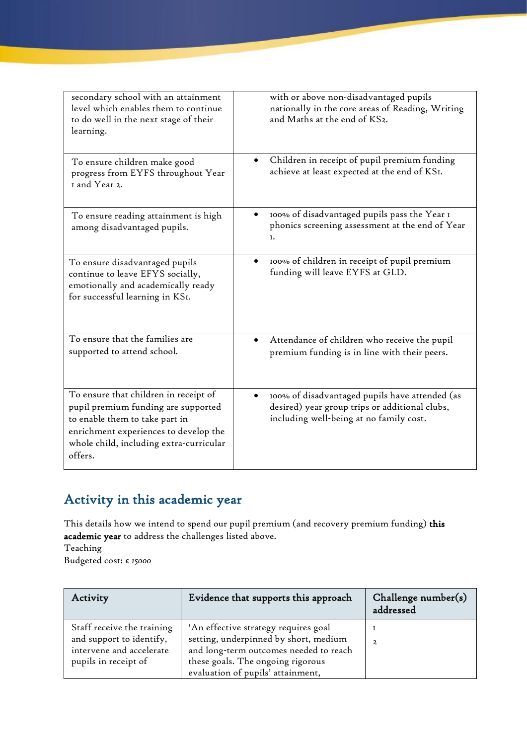| secondary school with an attainment<br>level which enables them to continue<br>to do well in the next stage of their<br>learning.                                                                             | with or above non-disadvantaged pupils<br>nationally in the core areas of Reading, Writing<br>and Maths at the end of KS2.                  |
|---------------------------------------------------------------------------------------------------------------------------------------------------------------------------------------------------------------|---------------------------------------------------------------------------------------------------------------------------------------------|
| To ensure children make good<br>progress from EYFS throughout Year<br>I and Year 2.                                                                                                                           | Children in receipt of pupil premium funding<br>achieve at least expected at the end of KSI.                                                |
| To ensure reading attainment is high<br>among disadvantaged pupils.                                                                                                                                           | 100% of disadvantaged pupils pass the Year I<br>$\bullet$<br>phonics screening assessment at the end of Year<br>I.                          |
| To ensure disadvantaged pupils<br>continue to leave EFYS socially,<br>emotionally and academically ready<br>for successful learning in KSI.                                                                   | 100% of children in receipt of pupil premium<br>funding will leave EYFS at GLD.                                                             |
| To ensure that the families are<br>supported to attend school.                                                                                                                                                | Attendance of children who receive the pupil<br>premium funding is in line with their peers.                                                |
| To ensure that children in receipt of<br>pupil premium funding are supported<br>to enable them to take part in<br>enrichment experiences to develop the<br>whole child, including extra-curricular<br>offers. | 100% of disadvantaged pupils have attended (as<br>desired) year group trips or additional clubs,<br>including well-being at no family cost. |

## Activity in this academic year

This details how we intend to spend our pupil premium (and recovery premium funding) this academic year to address the challenges listed above.

Teaching

Budgeted cost: £ *15000*

| Activity                                                                                                   | Evidence that supports this approach                                                                                                                                                              | Challenge number(s)<br>addressed |
|------------------------------------------------------------------------------------------------------------|---------------------------------------------------------------------------------------------------------------------------------------------------------------------------------------------------|----------------------------------|
| Staff receive the training<br>and support to identify,<br>intervene and accelerate<br>pupils in receipt of | 'An effective strategy requires goal<br>setting, underpinned by short, medium<br>and long-term outcomes needed to reach<br>these goals. The ongoing rigorous<br>evaluation of pupils' attainment, | $\overline{2}$                   |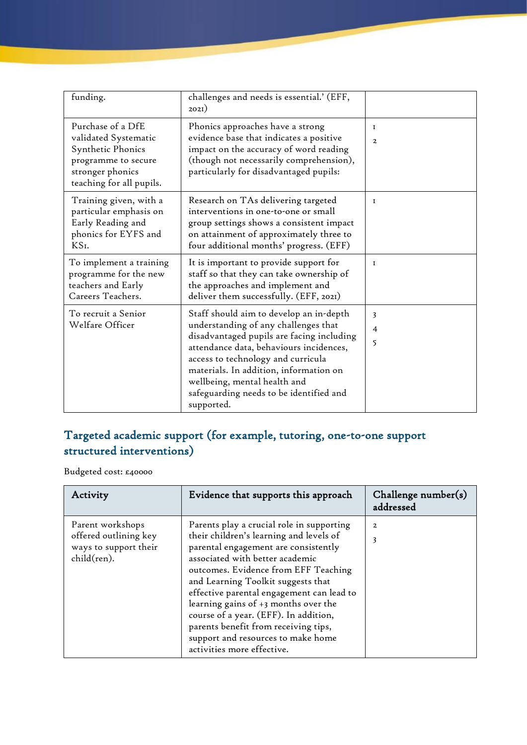| funding.                                                                                                                              | challenges and needs is essential.' (EFF,<br>2021)                                                                                                                                                                                                                                                                                               |                          |
|---------------------------------------------------------------------------------------------------------------------------------------|--------------------------------------------------------------------------------------------------------------------------------------------------------------------------------------------------------------------------------------------------------------------------------------------------------------------------------------------------|--------------------------|
| Purchase of a DfE<br>validated Systematic<br>Synthetic Phonics<br>programme to secure<br>stronger phonics<br>teaching for all pupils. | Phonics approaches have a strong<br>evidence base that indicates a positive<br>impact on the accuracy of word reading<br>(though not necessarily comprehension),<br>particularly for disadvantaged pupils:                                                                                                                                       | 1<br>$\overline{2}$      |
| Training given, with a<br>particular emphasis on<br>Early Reading and<br>phonics for EYFS and<br>KSI.                                 | Research on TAs delivering targeted<br>interventions in one-to-one or small<br>group settings shows a consistent impact<br>on attainment of approximately three to<br>four additional months' progress. (EFF)                                                                                                                                    | 1                        |
| To implement a training<br>programme for the new<br>teachers and Early<br>Careers Teachers.                                           | It is important to provide support for<br>staff so that they can take ownership of<br>the approaches and implement and<br>deliver them successfully. (EFF, 2021)                                                                                                                                                                                 | 1                        |
| To recruit a Senior<br>Welfare Officer                                                                                                | Staff should aim to develop an in-depth<br>understanding of any challenges that<br>disadvantaged pupils are facing including<br>attendance data, behaviours incidences,<br>access to technology and curricula<br>materials. In addition, information on<br>wellbeing, mental health and<br>safeguarding needs to be identified and<br>supported. | 3<br>$\overline{4}$<br>5 |

## Targeted academic support (for example, tutoring, one-to-one support structured interventions)

Budgeted cost: £40000

| Activity                                                                          | Evidence that supports this approach                                                                                                                                                                                                                                                                                                                                                                                                                                                       | Challenge number(s)<br>addressed |
|-----------------------------------------------------------------------------------|--------------------------------------------------------------------------------------------------------------------------------------------------------------------------------------------------------------------------------------------------------------------------------------------------------------------------------------------------------------------------------------------------------------------------------------------------------------------------------------------|----------------------------------|
| Parent workshops<br>offered outlining key<br>ways to support their<br>child(ren). | Parents play a crucial role in supporting<br>their children's learning and levels of<br>parental engagement are consistently<br>associated with better academic<br>outcomes. Evidence from EFF Teaching<br>and Learning Toolkit suggests that<br>effective parental engagement can lead to<br>learning gains of $+$ 3 months over the<br>course of a year. (EFF). In addition,<br>parents benefit from receiving tips,<br>support and resources to make home<br>activities more effective. | $\overline{a}$<br>3              |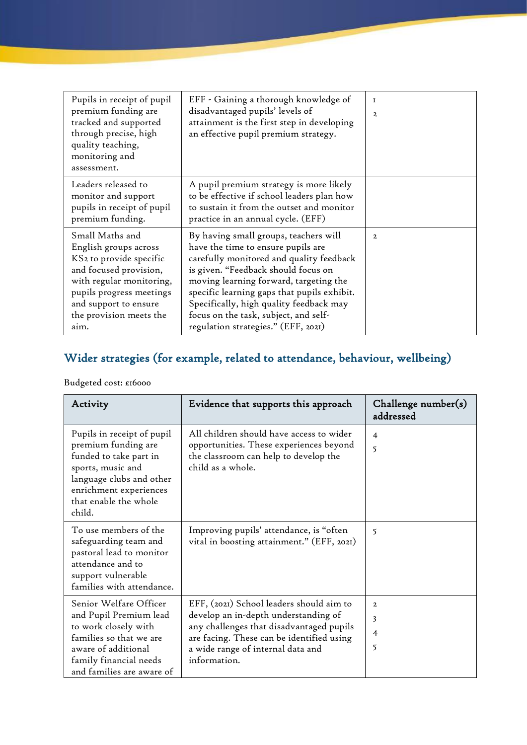| Pupils in receipt of pupil<br>premium funding are<br>tracked and supported<br>through precise, high<br>quality teaching,<br>monitoring and<br>assessment.                                                         | EFF - Gaining a thorough knowledge of<br>disadvantaged pupils' levels of<br>attainment is the first step in developing<br>an effective pupil premium strategy.                                                                                                                                                                                                                     | 1<br>$\mathbf{2}$ |
|-------------------------------------------------------------------------------------------------------------------------------------------------------------------------------------------------------------------|------------------------------------------------------------------------------------------------------------------------------------------------------------------------------------------------------------------------------------------------------------------------------------------------------------------------------------------------------------------------------------|-------------------|
| Leaders released to<br>monitor and support<br>pupils in receipt of pupil<br>premium funding.                                                                                                                      | A pupil premium strategy is more likely<br>to be effective if school leaders plan how<br>to sustain it from the outset and monitor<br>practice in an annual cycle. (EFF)                                                                                                                                                                                                           |                   |
| Small Maths and<br>English groups across<br>KS2 to provide specific<br>and focused provision,<br>with regular monitoring,<br>pupils progress meetings<br>and support to ensure<br>the provision meets the<br>aim. | By having small groups, teachers will<br>have the time to ensure pupils are<br>carefully monitored and quality feedback<br>is given. "Feedback should focus on<br>moving learning forward, targeting the<br>specific learning gaps that pupils exhibit.<br>Specifically, high quality feedback may<br>focus on the task, subject, and self-<br>regulation strategies." (EFF, 2021) | $\mathbf{2}$      |

# Wider strategies (for example, related to attendance, behaviour, wellbeing)

#### Budgeted cost: £16000

| Activity                                                                                                                                                                                  | Evidence that supports this approach                                                                                                                                                                                           | Challenge number(s)<br>addressed       |
|-------------------------------------------------------------------------------------------------------------------------------------------------------------------------------------------|--------------------------------------------------------------------------------------------------------------------------------------------------------------------------------------------------------------------------------|----------------------------------------|
| Pupils in receipt of pupil<br>premium funding are<br>funded to take part in<br>sports, music and<br>language clubs and other<br>enrichment experiences<br>that enable the whole<br>child. | All children should have access to wider<br>opportunities. These experiences beyond<br>the classroom can help to develop the<br>child as a whole.                                                                              | $\overline{4}$<br>5                    |
| To use members of the<br>safeguarding team and<br>pastoral lead to monitor<br>attendance and to<br>support vulnerable<br>families with attendance.                                        | Improving pupils' attendance, is "often<br>vital in boosting attainment." (EFF, 2021)                                                                                                                                          | $\overline{5}$                         |
| Senior Welfare Officer<br>and Pupil Premium lead<br>to work closely with<br>families so that we are<br>aware of additional<br>family financial needs<br>and families are aware of         | EFF, (2021) School leaders should aim to<br>develop an in-depth understanding of<br>any challenges that disadvantaged pupils<br>are facing. These can be identified using<br>a wide range of internal data and<br>information. | $\overline{\mathbf{c}}$<br>3<br>4<br>5 |